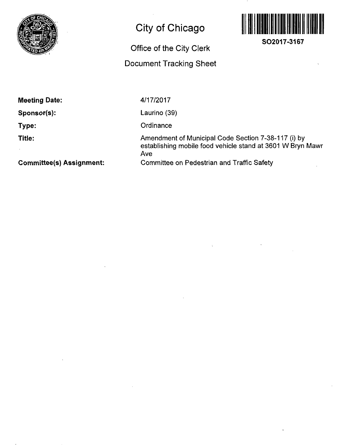

# **City of Chicago**

## **Office of the City Clerk**

# **Document Tracking Sheet**



**Meeting Date:** 

**Sponsor(s):** 

**Type:** 

**Title:** 

4/17/2017

Laurino (39)

**Ordinance** 

Amendment of Municipal Code Section 7-38-117 (i) by establishing mobile food vehicle stand at 3601 W Bryn Mawr Ave Committee on Pedestrian and Traffic Safety

**Committee(s) Assignment:**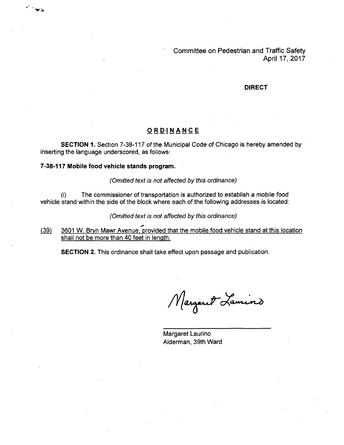Committee on Pedestrian and Traffic Safety April 17, 2017

#### **DIRECT**

### **ORDINANC E**

SECTION 1. Section 7-38-117 of the Municipal Code of Chicago is hereby amended by inserting the language underscored, as follows:

#### **7-38-117 Mobile food vehicle stands program.**

 $\mathcal{L}_{\text{max}}$ 

(Omitted text is not affected by this ordinance)

(i) The commissioner of transportation is authorized to establish a mobile food vehicle stand within the side of the block where each of the following addresses is located:

(Omitted text is not affected by this ordinance)

(39) 3601 W. Bryn Mawr Avenue, provided that the mobile food vehicle stand at this location shall not be more than 40 feet in length;

SECTION 2. This ordinance shall take effect upon passage and publication.

Margaret Laurind

Margaret Laurino Alderman, 39th Ward